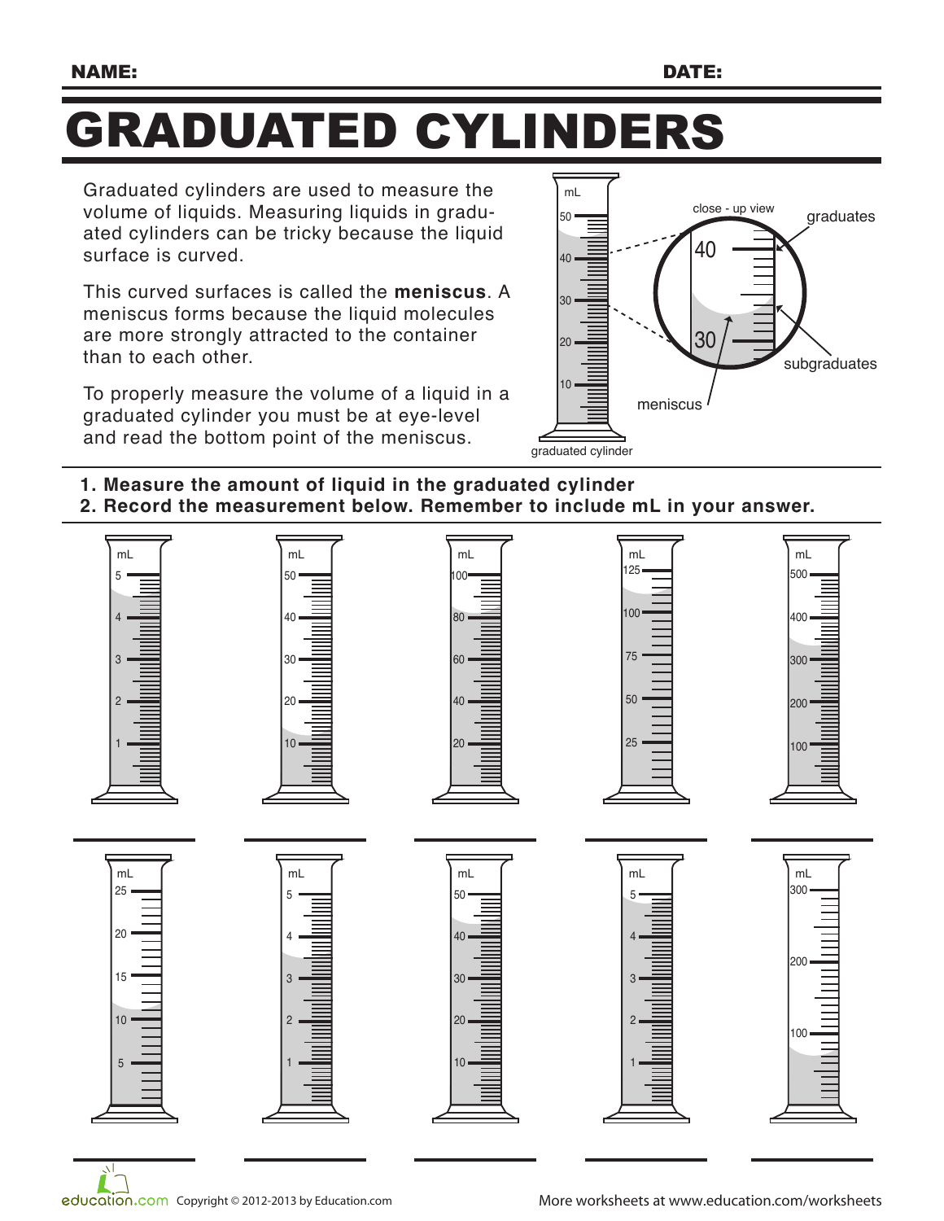## GRADUATED CYLINDERS

Graduated cylinders are used to measure the volume of liquids. Measuring liquids in graduated cylinders can be tricky because the liquid surface is curved.

This curved surfaces is called the **meniscus**. A meniscus forms because the liquid molecules are more strongly attracted to the container than to each other.

To properly measure the volume of a liquid in a graduated cylinder you must be at eye-level and read the bottom point of the meniscus.<br>graduated cylinder



- **1. Measure the amount of liquid in the graduated cylinder**
- **2. Record the measurement below. Remember to include mL in your answer.**